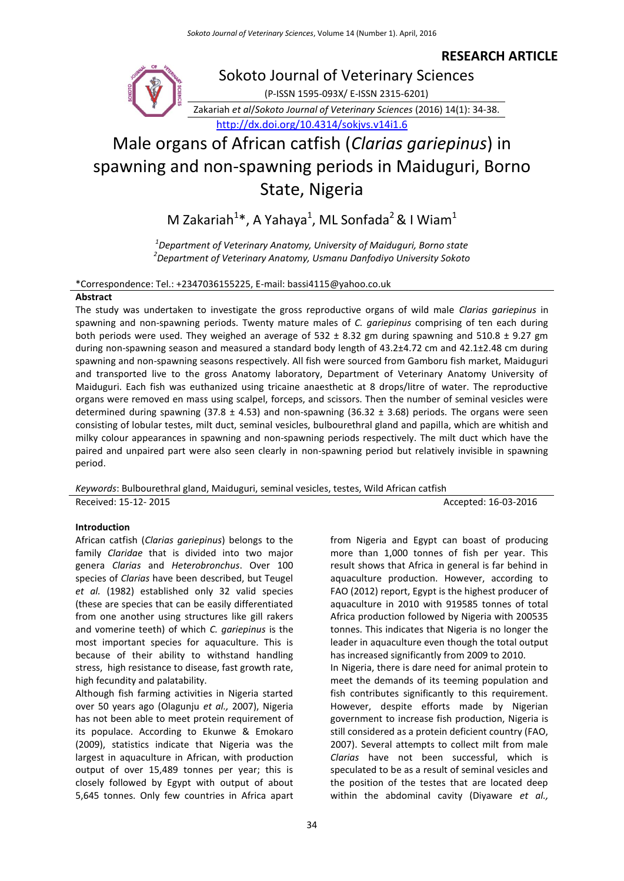**RESEARCH ARTICLE**

Sokoto Journal of Veterinary Sciences (P-ISSN 1595-093X/ E-ISSN 2315-6201)

Zakariah *et al*/*Sokoto Journal of Veterinary Sciences* (2016) 14(1): 34-38. <http://dx.doi.org/10.4314/sokjvs.v14i1.6>

# Male organs of African catfish (*Clarias gariepinus*) in spawning and non-spawning periods in Maiduguri, Borno State, Nigeria

M Zakariah<sup>1</sup>\*, A Yahaya<sup>1</sup>, ML Sonfada<sup>2</sup> & I Wiam<sup>1</sup>

*1 Department of Veterinary Anatomy, University of Maiduguri, Borno state 2 Department of Veterinary Anatomy, Usmanu Danfodiyo University Sokoto*

#### \*Correspondence: Tel.: +2347036155225, E-mail: bassi4115@yahoo.co.uk

# **Abstract**

The study was undertaken to investigate the gross reproductive organs of wild male *Clarias gariepinus* in spawning and non-spawning periods. Twenty mature males of *C. gariepinus* comprising of ten each during both periods were used. They weighed an average of 532 ± 8.32 gm during spawning and 510.8 ± 9.27 gm during non-spawning season and measured a standard body length of 43.2±4.72 cm and 42.1±2.48 cm during spawning and non-spawning seasons respectively. All fish were sourced from Gamboru fish market, Maiduguri and transported live to the gross Anatomy laboratory, Department of Veterinary Anatomy University of Maiduguri. Each fish was euthanized using tricaine anaesthetic at 8 drops/litre of water. The reproductive organs were removed en mass using scalpel, forceps, and scissors. Then the number of seminal vesicles were determined during spawning (37.8  $\pm$  4.53) and non-spawning (36.32  $\pm$  3.68) periods. The organs were seen consisting of lobular testes, milt duct, seminal vesicles, bulbourethral gland and papilla, which are whitish and milky colour appearances in spawning and non-spawning periods respectively. The milt duct which have the paired and unpaired part were also seen clearly in non-spawning period but relatively invisible in spawning period.

*Keywords*: Bulbourethral gland, Maiduguri, seminal vesicles, testes, Wild African catfish Received: 15-12- 2015 **Accepted: 16-03-2016** 

#### **Introduction**

African catfish (*Clarias gariepinus*) belongs to the family *Claridae* that is divided into two major genera *Clarias* and *Heterobronchus*. Over 100 species of *Clarias* have been described, but Teugel *et al.* (1982) established only 32 valid species (these are species that can be easily differentiated from one another using structures like gill rakers and vomerine teeth) of which *C. gariepinus* is the most important species for aquaculture. This is because of their ability to withstand handling stress, high resistance to disease, fast growth rate, high fecundity and palatability.

Although fish farming activities in Nigeria started over 50 years ago (Olagunju *et al.,* 2007), Nigeria has not been able to meet protein requirement of its populace. According to Ekunwe & Emokaro (2009), statistics indicate that Nigeria was the largest in aquaculture in African, with production output of over 15,489 tonnes per year; this is closely followed by Egypt with output of about 5,645 tonnes. Only few countries in Africa apart from Nigeria and Egypt can boast of producing more than 1,000 tonnes of fish per year. This result shows that Africa in general is far behind in aquaculture production. However, according to FAO (2012) report, Egypt is the highest producer of aquaculture in 2010 with 919585 tonnes of total Africa production followed by Nigeria with 200535 tonnes. This indicates that Nigeria is no longer the leader in aquaculture even though the total output has increased significantly from 2009 to 2010.

In Nigeria, there is dare need for animal protein to meet the demands of its teeming population and fish contributes significantly to this requirement. However, despite efforts made by Nigerian government to increase fish production, Nigeria is still considered as a protein deficient country (FAO, 2007). Several attempts to collect milt from male *Clarias* have not been successful, which is speculated to be as a result of seminal vesicles and the position of the testes that are located deep within the abdominal cavity (Diyaware *et al.,*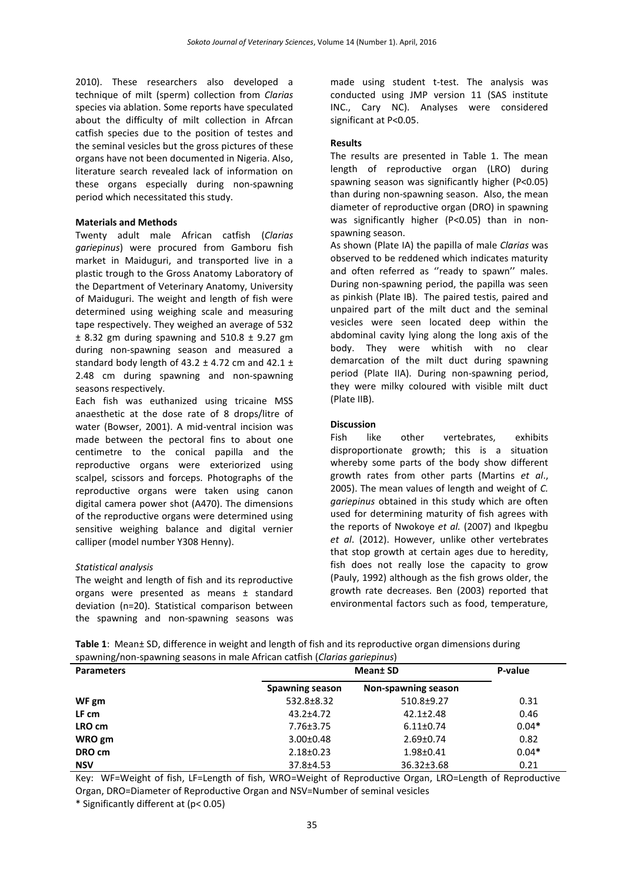2010). These researchers also developed a technique of milt (sperm) collection from *Clarias* species via ablation. Some reports have speculated about the difficulty of milt collection in Afrcan catfish species due to the position of testes and the seminal vesicles but the gross pictures of these organs have not been documented in Nigeria. Also, literature search revealed lack of information on these organs especially during non-spawning period which necessitated this study.

### **Materials and Methods**

Twenty adult male African catfish (*Clarias gariepinus*) were procured from Gamboru fish market in Maiduguri, and transported live in a plastic trough to the Gross Anatomy Laboratory of the Department of Veterinary Anatomy, University of Maiduguri. The weight and length of fish were determined using weighing scale and measuring tape respectively. They weighed an average of 532  $±$  8.32 gm during spawning and 510.8  $±$  9.27 gm during non-spawning season and measured a standard body length of  $43.2 \pm 4.72$  cm and  $42.1 \pm$ 2.48 cm during spawning and non-spawning seasons respectively.

Each fish was euthanized using tricaine MSS anaesthetic at the dose rate of 8 drops/litre of water (Bowser, 2001). A mid-ventral incision was made between the pectoral fins to about one centimetre to the conical papilla and the reproductive organs were exteriorized using scalpel, scissors and forceps. Photographs of the reproductive organs were taken using canon digital camera power shot (A470). The dimensions of the reproductive organs were determined using sensitive weighing balance and digital vernier calliper (model number Y308 Henny).

# *Statistical analysis*

The weight and length of fish and its reproductive organs were presented as means ± standard deviation (n=20). Statistical comparison between the spawning and non-spawning seasons was made using student t-test. The analysis was conducted using JMP version 11 (SAS institute INC., Cary NC). Analyses were considered significant at P<0.05.

### **Results**

The results are presented in Table 1. The mean length of reproductive organ (LRO) during spawning season was significantly higher (P˂0.05) than during non-spawning season. Also, the mean diameter of reproductive organ (DRO) in spawning was significantly higher (P˂0.05) than in nonspawning season.

As shown (Plate IA) the papilla of male *Clarias* was observed to be reddened which indicates maturity and often referred as "ready to spawn" males. During non-spawning period, the papilla was seen as pinkish (Plate IB). The paired testis, paired and unpaired part of the milt duct and the seminal vesicles were seen located deep within the abdominal cavity lying along the long axis of the body. They were whitish with no clear demarcation of the milt duct during spawning period (Plate IIA). During non-spawning period, they were milky coloured with visible milt duct (Plate IIB).

# **Discussion**

Fish like other vertebrates, exhibits disproportionate growth; this is a situation whereby some parts of the body show different growth rates from other parts [\(Martins](http://scialert.net/fulltext/?doi=jfas.2014.252.256#1302385_ja) *et al*., [2005\)](http://scialert.net/fulltext/?doi=jfas.2014.252.256#1302385_ja). The mean values of length and weight of *C. gariepinus* obtained in this study which are often used for determining maturity of fish agrees with the reports of Nwokoye *et al.* (2007) and Ikpegbu *et al*. (2012). However, unlike other vertebrates that stop growth at certain ages due to heredity, fish does not really lose the capacity to grow (Pauly, 1992) although as the fish grows older, the growth rate decreases. Ben (2003) reported that environmental factors such as food, temperature,

**Table 1**: Mean± SD, difference in weight and length of fish and its reproductive organ dimensions during spawning/non-spawning seasons in male African catfish (*Clarias gariepinus*)

| <b>Parameters</b> | <b>Mean</b> SD  |                     | P-value |
|-------------------|-----------------|---------------------|---------|
|                   | Spawning season | Non-spawning season |         |
| WF gm             | 532.8±8.32      | $510.8 + 9.27$      | 0.31    |
| LF cm             | $43.2 + 4.72$   | $42.1 \pm 2.48$     | 0.46    |
| LRO cm            | $7.76 \pm 3.75$ | $6.11 \pm 0.74$     | $0.04*$ |
| WRO gm            | $3.00 \pm 0.48$ | $2.69 \pm 0.74$     | 0.82    |
| DRO cm            | $2.18 \pm 0.23$ | $1.98 \pm 0.41$     | $0.04*$ |
| <b>NSV</b>        | 37.8±4.53       | $36.32 \pm 3.68$    | 0.21    |

Key: WF=Weight of fish, LF=Length of fish, WRO=Weight of Reproductive Organ, LRO=Length of Reproductive Organ, DRO=Diameter of Reproductive Organ and NSV=Number of seminal vesicles

\* Significantly different at (p˂ 0.05)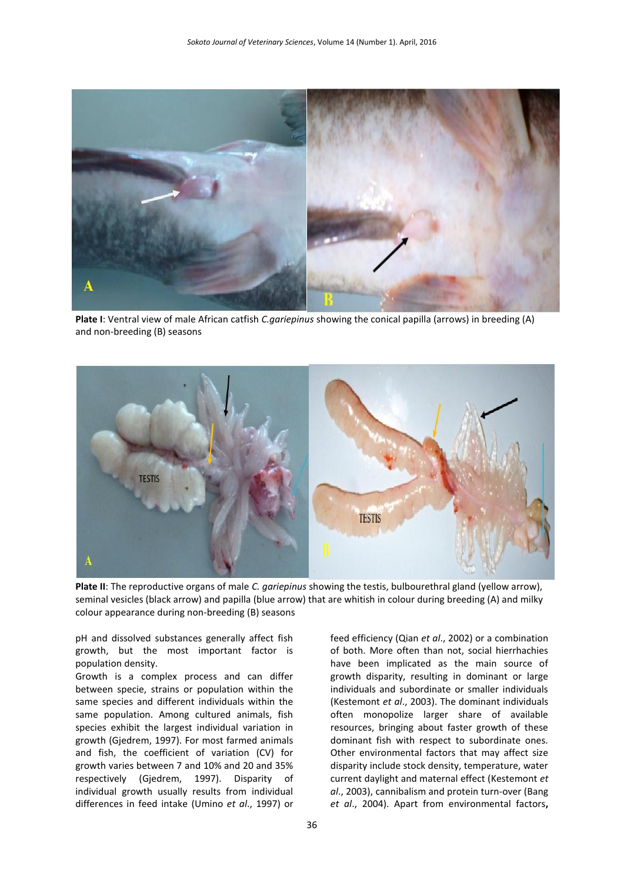

**Plate I**: Ventral view of male African catfish *C.gariepinus* showing the conical papilla (arrows) in breeding (A) and non-breeding (B) seasons



**Plate II**: The reproductive organs of male *C. gariepinus* showing the testis, bulbourethral gland (yellow arrow), seminal vesicles (black arrow) and papilla (blue arrow) that are whitish in colour during breeding (A) and milky colour appearance during non-breeding (B) seasons

pH and dissolved substances generally affect fish growth, but the most important factor is population density.

Growth is a complex process and can differ between specie, strains or population within the same species and different individuals within the same population. Among cultured animals, fish species exhibit the largest individual variation in growth [\(Gjedrem, 1997\)](http://scialert.net/fulltext/?doi=jfas.2014.252.256#1302391_ja). For most farmed animals and fish, the coefficient of variation (CV) for growth varies between 7 and 10% and 20 and 35% respectively [\(Gjedrem, 1997\)](http://scialert.net/fulltext/?doi=jfas.2014.252.256#1302391_ja). Disparity of individual growth usually results from individual differences in feed intake [\(Umino](http://scialert.net/fulltext/?doi=jfas.2014.252.256#1302375_ja) *et al*., 1997) or

feed efficiency (Qian *et al*[., 2002\)](http://scialert.net/fulltext/?doi=jfas.2014.252.256#1302383_ja) or a combination of both. More often than not, social hierrhachies have been implicated as the main source of growth disparity, resulting in dominant or large individuals and subordinate or smaller individuals [\(Kestemont](http://scialert.net/fulltext/?doi=jfas.2014.252.256#944744_ja) *et al*., 2003). The dominant individuals often monopolize larger share of available resources, bringing about faster growth of these dominant fish with respect to subordinate ones. Other [environmental factors](http://www.scialert.net/asci/result.php?searchin=Keywords&cat=&ascicat=ALL&Submit=Search&keyword=environmental+factors) that may affect size disparity include stock density, temperature, water current daylight and maternal effect [\(Kestemont](http://scialert.net/fulltext/?doi=jfas.2014.252.256#944744_ja) *et al*[., 2003\)](http://scialert.net/fulltext/?doi=jfas.2014.252.256#944744_ja), cannibalism and protein turn-over [\(Bang](http://scialert.net/fulltext/?doi=jfas.2014.252.256#1302365_ja)  *et al*[., 2004\)](http://scialert.net/fulltext/?doi=jfas.2014.252.256#1302365_ja). Apart from [environmental factors](http://www.scialert.net/asci/result.php?searchin=Keywords&cat=&ascicat=ALL&Submit=Search&keyword=environmental+factors)**,**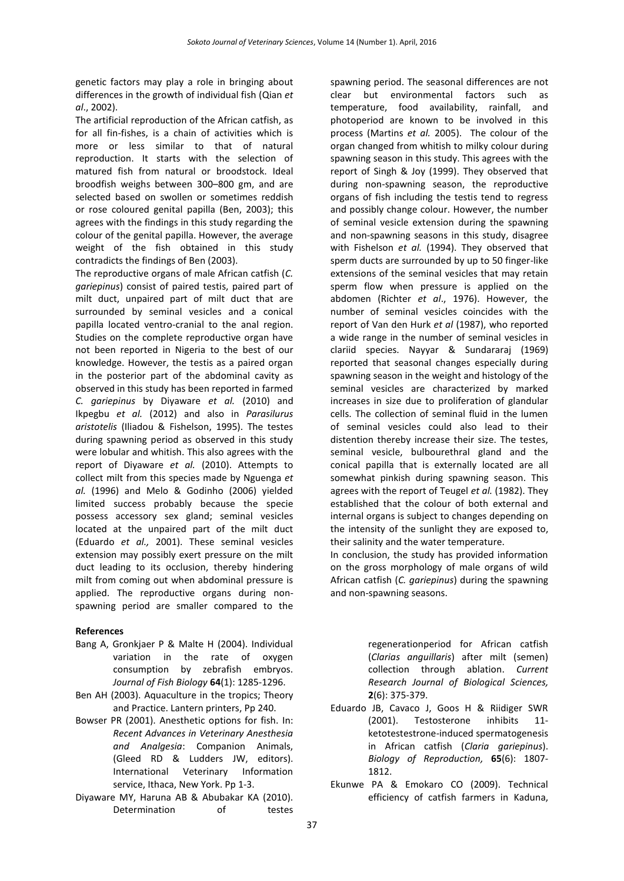genetic factors may play a role in bringing about differences in the growth of individual fish [\(Qian](http://scialert.net/fulltext/?doi=jfas.2014.252.256#1302383_ja) *et al*[., 2002\)](http://scialert.net/fulltext/?doi=jfas.2014.252.256#1302383_ja).

The artificial reproduction of the African catfish, as for all fin-fishes, is a chain of activities which is more or less similar to that of natural reproduction. It starts with the selection of matured fish from natural or broodstock. Ideal broodfish weighs between 300–800 gm, and are selected based on swollen or sometimes reddish or rose coloured genital papilla (Ben, 2003); this agrees with the findings in this study regarding the colour of the genital papilla. However, the average weight of the fish obtained in this study contradicts the findings of Ben (2003).

The reproductive organs of male African catfish (*C. gariepinus*) consist of paired testis, paired part of milt duct, unpaired part of milt duct that are surrounded by seminal vesicles and a conical papilla located ventro-cranial to the anal region. Studies on the complete reproductive organ have not been reported in Nigeria to the best of our knowledge. However, the testis as a paired organ in the posterior part of the abdominal cavity as observed in this study has been reported in farmed *C. gariepinus* by Diyaware *et al.* (2010) and Ikpegbu *et al.* (2012) and also in *Parasilurus aristotelis* (Iliadou & Fishelson, 1995). The testes during spawning period as observed in this study were lobular and whitish. This also agrees with the report of Diyaware *et al.* (2010). Attempts to collect milt from this species made by Nguenga *et al.* (1996) and Melo & Godinho (2006) yielded limited success probably because the specie possess accessory sex gland; seminal vesicles located at the unpaired part of the milt duct (Eduardo *et al.,* 2001). These seminal vesicles extension may possibly exert pressure on the milt duct leading to its occlusion, thereby hindering milt from coming out when abdominal pressure is applied. The reproductive organs during nonspawning period are smaller compared to the

#### **References**

- Bang A, Gronkjaer P & Malte H (2004). Individual variation in the rate of oxygen consumption by zebrafish embryos. *Journal of Fish Biology* **64**(1): 1285-1296.
- Ben AH (2003). Aquaculture in the tropics; Theory and Practice. Lantern printers, Pp 240.
- Bowser PR (2001). Anesthetic options for fish. In: *Recent Advances in Veterinary Anesthesia and Analgesia*: Companion Animals, (Gleed RD & Ludders JW, editors). International Veterinary Information service, Ithaca, New York. Pp 1-3.
- Diyaware MY, Haruna AB & Abubakar KA (2010). Determination of testes

spawning period. The seasonal differences are not clear but environmental factors such as temperature, food availability, rainfall, and photoperiod are known to be involved in this process (Martins *et al.* 2005). The colour of the organ changed from whitish to milky colour during spawning season in this study. This agrees with the report of Singh & [Joy \(1999](javascript:void(0);)). They observed that during non-spawning season, the reproductive organs of fish including the testis tend to regress and possibly change colour. However, the number of seminal vesicle extension during the spawning and non-spawning seasons in this study, disagree with Fishelson *et al.* (1994). They observed that sperm ducts are surrounded by up to 50 finger-like extensions of the seminal vesicles that may retain sperm flow when pressure is applied on the abdomen (Richter *et al*., 1976). However, the number of seminal vesicles coincides with the report of Van den Hurk *et al* (1987), who reported a wide range in the number of seminal vesicles in clariid species. [Nayyar & Sundararaj \(196](javascript:void(0);)9) reported that seasonal changes especially during spawning season in the weight and histology of the seminal vesicles are characterized by marked increases in size due to proliferation of glandular cells. The collection of seminal fluid in the lumen of seminal vesicles could also lead to their distention thereby increase their size. The testes, seminal vesicle, bulbourethral gland and the conical papilla that is externally located are all somewhat pinkish during spawning season. This agrees with the report of Teugel *et al.* (1982). They established that the colour of both external and internal organs is subject to changes depending on the intensity of the sunlight they are exposed to, their salinity and the water temperature.

In conclusion, the study has provided information on the gross morphology of male organs of wild African catfish (*C. gariepinus*) during the spawning and non-spawning seasons.

> regenerationperiod for African catfish (*Clarias anguillaris*) after milt (semen) collection through ablation. *Current Research Journal of Biological Sciences,* **2**(6): 375-379.

- Eduardo JB, Cavaco J, Goos H & Riidiger SWR (2001). Testosterone inhibits 11 ketotestestrone-induced spermatogenesis in African catfish (*Claria gariepinus*). *Biology of Reproduction,* **65**(6): 1807- 1812.
- Ekunwe PA & Emokaro CO (2009). Technical efficiency of catfish farmers in Kaduna,